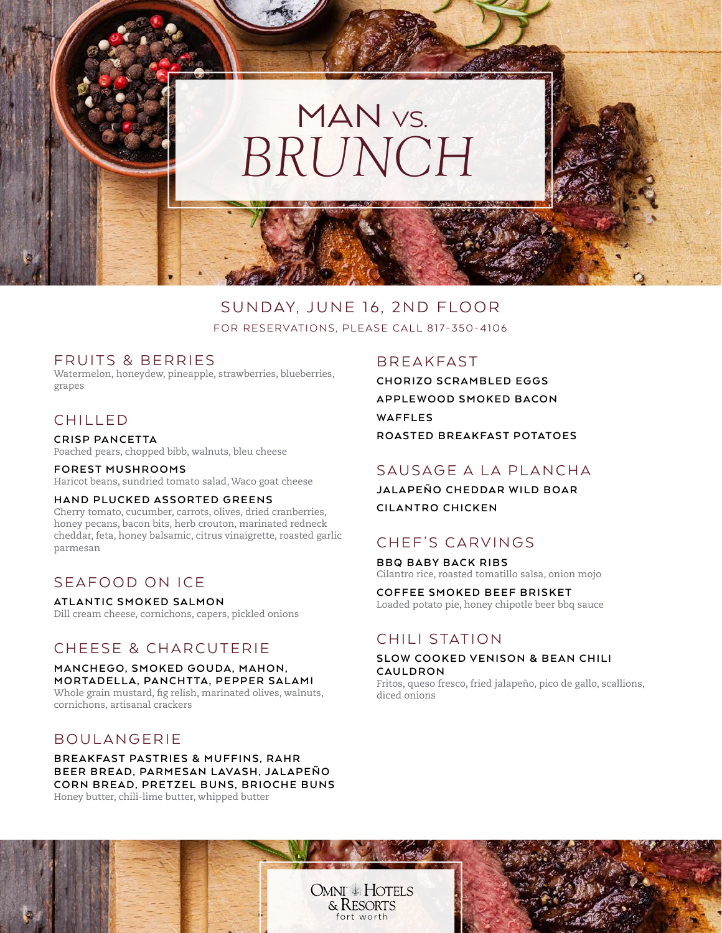

### SUNDAY, JUNE 16, 2ND FLOOR FOR RESERVATIONS, PLEASE CALL 817-350-4106

#### FRUITS & BERRIES

Watermelon, honeydew, pineapple, strawberries, blueberries, grapes

# CHILLED

**CRISP PANCETTA** Poached pears, chopped bibb, walnuts, bleu cheese

**FOREST MUSHROOMS** Haricot beans, sundried tomato salad, Waco goat cheese

#### **HAND PLUCKED ASSORTED GREENS**

Cherry tomato, cucumber, carrots, olives, dried cranberries, honey pecans, bacon bits, herb crouton, marinated redneck cheddar, feta, honey balsamic, citrus vinaigrette, roasted garlic parmesan

# SEAFOOD ON ICE

**ATLANTIC SMOKED SALMON** Dill cream cheese, cornichons, capers, pickled onions

### CHEESE & CHARCUTERIE

**MANCHEGO, SMOKED GOUDA, MAHON, MORTADELLA, PANCHTTA, PEPPER SALAMI** Whole grain mustard, fig relish, marinated olives, walnuts, cornichons, artisanal crackers

#### BOULANGERIE

**BREAKFAST PASTRIES & MUFFINS, RAHR** BEER BREAD, PARMESAN LAVASH, JALAPEÑO **CORN BREAD, PRETZEL BUNS, BRIOCHE BUNS** Honey butter, chili-lime butter, whipped butter

### BREAKFAST

**CHORIZO SCRAMBLED EGGS APPLEWOOD SMOKED BACON WAFFLES ROASTED BREAKFAST POTATOES**

### SAUSAGE A LA PLANCHA

**JALAPEÑO CHEDDAR WILD BOAR CILANTRO CHICKEN**

# CHEF'S CARVINGS

**BBQ BABY BACK RIBS** Cilantro rice, roasted tomatillo salsa, onion mojo

**COFFEE SMOKED BEEF BRISKET** Loaded potato pie, honey chipotle beer bbq sauce

### CHILI STATION

#### **SLOW COOKED VENISON & BEAN CHILI CAULDRON**

Fritos, queso fresco, fried jalapeño, pico de gallo, scallions, diced onions